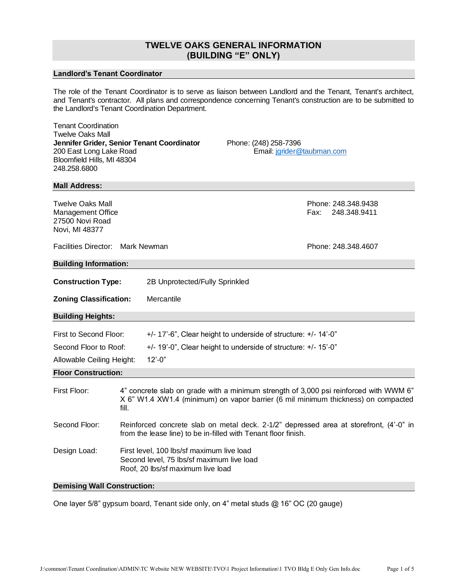# **TWELVE OAKS GENERAL INFORMATION (BUILDING "E" ONLY)**

# **Landlord's Tenant Coordinator**

The role of the Tenant Coordinator is to serve as liaison between Landlord and the Tenant, Tenant's architect, and Tenant's contractor. All plans and correspondence concerning Tenant's construction are to be submitted to the Landlord's Tenant Coordination Department.

| <b>Tenant Coordination</b><br>Twelve Oaks Mall<br>Jennifer Grider, Senior Tenant Coordinator<br>200 East Long Lake Road<br>Bloomfield Hills, MI 48304<br>248.258.6800 |                                                                                                                                                                                     |                                                                      | Phone: (248) 258-7396<br>Email: jgrider@taubman.com |                                             |  |  |
|-----------------------------------------------------------------------------------------------------------------------------------------------------------------------|-------------------------------------------------------------------------------------------------------------------------------------------------------------------------------------|----------------------------------------------------------------------|-----------------------------------------------------|---------------------------------------------|--|--|
| <b>Mall Address:</b>                                                                                                                                                  |                                                                                                                                                                                     |                                                                      |                                                     |                                             |  |  |
| <b>Twelve Oaks Mall</b><br><b>Management Office</b><br>27500 Novi Road<br>Novi, MI 48377                                                                              |                                                                                                                                                                                     |                                                                      |                                                     | Phone: 248.348.9438<br>Fax:<br>248.348.9411 |  |  |
| Facilities Director: Mark Newman                                                                                                                                      |                                                                                                                                                                                     |                                                                      |                                                     | Phone: 248.348.4607                         |  |  |
| <b>Building Information:</b>                                                                                                                                          |                                                                                                                                                                                     |                                                                      |                                                     |                                             |  |  |
| <b>Construction Type:</b>                                                                                                                                             |                                                                                                                                                                                     | 2B Unprotected/Fully Sprinkled                                       |                                                     |                                             |  |  |
|                                                                                                                                                                       |                                                                                                                                                                                     |                                                                      |                                                     |                                             |  |  |
| <b>Zoning Classification:</b>                                                                                                                                         |                                                                                                                                                                                     | Mercantile                                                           |                                                     |                                             |  |  |
| <b>Building Heights:</b>                                                                                                                                              |                                                                                                                                                                                     |                                                                      |                                                     |                                             |  |  |
| First to Second Floor:                                                                                                                                                |                                                                                                                                                                                     | $+/- 17.-6$ ", Clear height to underside of structure: $+/- 14.-0$ " |                                                     |                                             |  |  |
| Second Floor to Roof:                                                                                                                                                 |                                                                                                                                                                                     | $+/-$ 19'-0", Clear height to underside of structure: $+/-$ 15'-0"   |                                                     |                                             |  |  |
| Allowable Ceiling Height:                                                                                                                                             |                                                                                                                                                                                     | $12 - 0$ "                                                           |                                                     |                                             |  |  |
| <b>Floor Construction:</b>                                                                                                                                            |                                                                                                                                                                                     |                                                                      |                                                     |                                             |  |  |
| First Floor:                                                                                                                                                          | 4" concrete slab on grade with a minimum strength of 3,000 psi reinforced with WWM 6"<br>X 6" W1.4 XW1.4 (minimum) on vapor barrier (6 mil minimum thickness) on compacted<br>fill. |                                                                      |                                                     |                                             |  |  |
| Second Floor:                                                                                                                                                         | Reinforced concrete slab on metal deck. 2-1/2" depressed area at storefront, (4'-0" in<br>from the lease line) to be in-filled with Tenant floor finish.                            |                                                                      |                                                     |                                             |  |  |
| Design Load:                                                                                                                                                          | First level, 100 lbs/sf maximum live load<br>Second level, 75 lbs/sf maximum live load<br>Roof, 20 lbs/sf maximum live load                                                         |                                                                      |                                                     |                                             |  |  |

# **Demising Wall Construction:**

One layer 5/8" gypsum board, Tenant side only, on 4" metal studs @ 16" OC (20 gauge)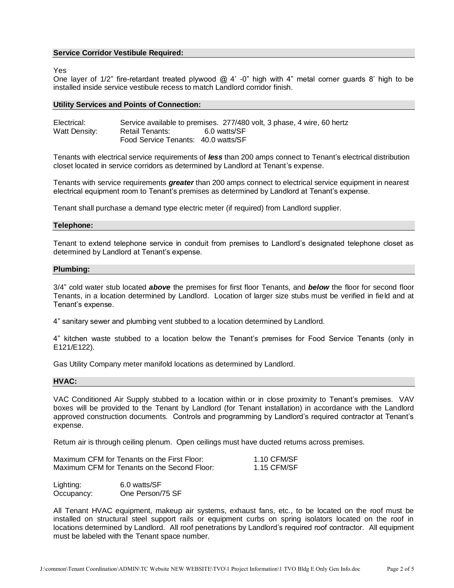## **Service Corridor Vestibule Required:**

#### Yes

One layer of  $1/2$ " fire-retardant treated plywood  $@$  4' -0" high with 4" metal corner guards 8' high to be installed inside service vestibule recess to match Landlord corridor finish.

#### **Utility Services and Points of Connection:**

| Electrical:   |                                     | Service available to premises. 277/480 volt, 3 phase, 4 wire, 60 hertz |
|---------------|-------------------------------------|------------------------------------------------------------------------|
| Watt Density: | Retail Tenants:                     | 6.0 watts/SF                                                           |
|               | Food Service Tenants: 40.0 watts/SF |                                                                        |

Tenants with electrical service requirements of *less* than 200 amps connect to Tenant's electrical distribution closet located in service corridors as determined by Landlord at Tenant's expense.

Tenants with service requirements *greater* than 200 amps connect to electrical service equipment in nearest electrical equipment room to Tenant's premises as determined by Landlord at Tenant's expense.

Tenant shall purchase a demand type electric meter (if required) from Landlord supplier.

#### **Telephone:**

Tenant to extend telephone service in conduit from premises to Landlord's designated telephone closet as determined by Landlord at Tenant's expense.

### **Plumbing:**

3/4" cold water stub located *above* the premises for first floor Tenants, and *below* the floor for second floor Tenants, in a location determined by Landlord. Location of larger size stubs must be verified in field and at Tenant's expense.

4" sanitary sewer and plumbing vent stubbed to a location determined by Landlord.

4" kitchen waste stubbed to a location below the Tenant's premises for Food Service Tenants (only in E121/E122).

Gas Utility Company meter manifold locations as determined by Landlord.

## **HVAC:**

VAC Conditioned Air Supply stubbed to a location within or in close proximity to Tenant's premises. VAV boxes will be provided to the Tenant by Landlord (for Tenant installation) in accordance with the Landlord approved construction documents. Controls and programming by Landlord's required contractor at Tenant's expense.

Return air is through ceiling plenum. Open ceilings must have ducted returns across premises.

| Maximum CFM for Tenants on the First Floor:  | 1.10 CFM/SF |
|----------------------------------------------|-------------|
| Maximum CFM for Tenants on the Second Floor: | 1.15 CFM/SF |

Lighting: 6.0 watts/SF Occupancy: One Person/75 SF

All Tenant HVAC equipment, makeup air systems, exhaust fans, etc., to be located on the roof must be installed on structural steel support rails or equipment curbs on spring isolators located on the roof in locations determined by Landlord. All roof penetrations by Landlord's required roof contractor. All equipment must be labeled with the Tenant space number.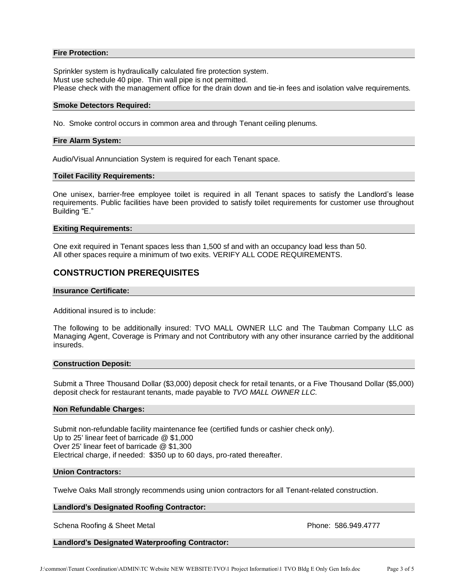## **Fire Protection:**

Sprinkler system is hydraulically calculated fire protection system. Must use schedule 40 pipe. Thin wall pipe is not permitted. Please check with the management office for the drain down and tie-in fees and isolation valve requirements.

#### **Smoke Detectors Required:**

No. Smoke control occurs in common area and through Tenant ceiling plenums.

## **Fire Alarm System:**

Audio/Visual Annunciation System is required for each Tenant space.

#### **Toilet Facility Requirements:**

One unisex, barrier-free employee toilet is required in all Tenant spaces to satisfy the Landlord's lease requirements. Public facilities have been provided to satisfy toilet requirements for customer use throughout Building "E."

## **Exiting Requirements:**

One exit required in Tenant spaces less than 1,500 sf and with an occupancy load less than 50. All other spaces require a minimum of two exits. VERIFY ALL CODE REQUIREMENTS.

# **CONSTRUCTION PREREQUISITES**

## **Insurance Certificate:**

Additional insured is to include:

The following to be additionally insured: TVO MALL OWNER LLC and The Taubman Company LLC as Managing Agent, Coverage is Primary and not Contributory with any other insurance carried by the additional insureds.

## **Construction Deposit:**

Submit a Three Thousand Dollar (\$3,000) deposit check for retail tenants, or a Five Thousand Dollar (\$5,000) deposit check for restaurant tenants, made payable to *TVO MALL OWNER LLC.*

#### **Non Refundable Charges:**

Submit non-refundable facility maintenance fee (certified funds or cashier check only). Up to 25' linear feet of barricade @ \$1,000 Over 25' linear feet of barricade @ \$1,300 Electrical charge, if needed: \$350 up to 60 days, pro-rated thereafter.

#### **Union Contractors:**

Twelve Oaks Mall strongly recommends using union contractors for all Tenant-related construction.

## **Landlord's Designated Roofing Contractor:**

Schena Roofing & Sheet Metal **Phone: 586.949.4777** 

## **Landlord's Designated Waterproofing Contractor:**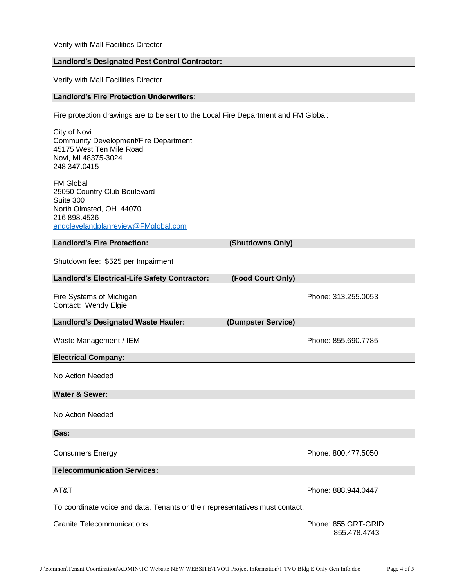Verify with Mall Facilities Director

## **Landlord's Designated Pest Control Contractor:**

Verify with Mall Facilities Director

## **Landlord's Fire Protection Underwriters:**

Fire protection drawings are to be sent to the Local Fire Department and FM Global:

City of Novi Community Development/Fire Department 45175 West Ten Mile Road Novi, MI 48375-3024 248.347.0415 FM Global 25050 Country Club Boulevard Suite 300 North Olmsted, OH 44070 216.898.4536 [engclevelandplanreview@FMglobal.com](mailto:engclevelandplanreview@FMglobal.com) **Landlord's Fire Protection: (Shutdowns Only)** Shutdown fee: \$525 per Impairment **Landlord's Electrical-Life Safety Contractor: (Food Court Only)** Fire Systems of Michigan **Phone: 313.255.0053** Phone: 313.255.0053 Contact: Wendy Elgie **Landlord's Designated Waste Hauler: (Dumpster Service)** Waste Management / IEM Phone: 855.690.7785 **Electrical Company:** No Action Needed **Water & Sewer:** No Action Needed **Gas:** Consumers Energy **Phone: 800.477.5050 Telecommunication Services:** AT&T Phone: 888.944.0447 To coordinate voice and data, Tenants or their representatives must contact: Granite Telecommunications **Phone: 855.GRT-GRID** 855.478.4743